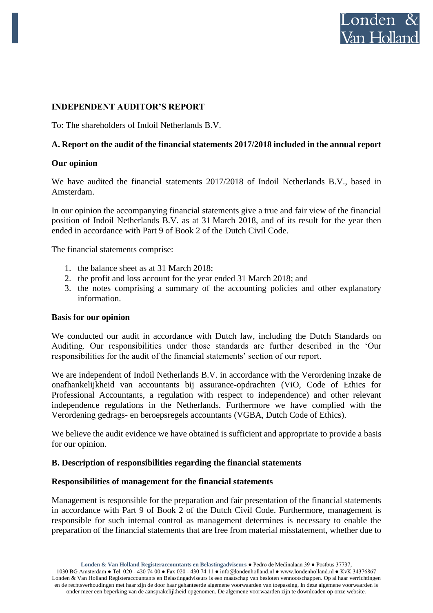

# **INDEPENDENT AUDITOR'S REPORT**

To: The shareholders of Indoil Netherlands B.V.

# **A. Report on the audit of the financial statements 2017/2018 included in the annual report**

### **Our opinion**

We have audited the financial statements 2017/2018 of Indoil Netherlands B.V., based in Amsterdam.

In our opinion the accompanying financial statements give a true and fair view of the financial position of Indoil Netherlands B.V. as at 31 March 2018, and of its result for the year then ended in accordance with Part 9 of Book 2 of the Dutch Civil Code.

The financial statements comprise:

- 1. the balance sheet as at 31 March 2018;
- 2. the profit and loss account for the year ended 31 March 2018; and
- 3. the notes comprising a summary of the accounting policies and other explanatory information.

#### **Basis for our opinion**

We conducted our audit in accordance with Dutch law, including the Dutch Standards on Auditing. Our responsibilities under those standards are further described in the 'Our responsibilities for the audit of the financial statements' section of our report.

We are independent of Indoil Netherlands B.V. in accordance with the Verordening inzake de onafhankelijkheid van accountants bij assurance-opdrachten (ViO, Code of Ethics for Professional Accountants, a regulation with respect to independence) and other relevant independence regulations in the Netherlands. Furthermore we have complied with the Verordening gedrags- en beroepsregels accountants (VGBA, Dutch Code of Ethics).

We believe the audit evidence we have obtained is sufficient and appropriate to provide a basis for our opinion.

#### **B. Description of responsibilities regarding the financial statements**

#### **Responsibilities of management for the financial statements**

Management is responsible for the preparation and fair presentation of the financial statements in accordance with Part 9 of Book 2 of the Dutch Civil Code. Furthermore, management is responsible for such internal control as management determines is necessary to enable the preparation of the financial statements that are free from material misstatement, whether due to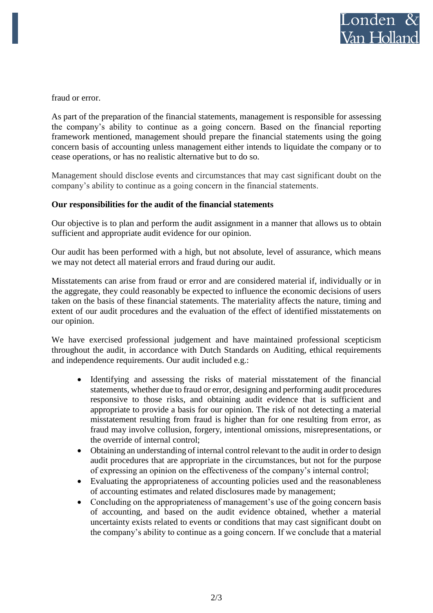fraud or error.

As part of the preparation of the financial statements, management is responsible for assessing the company's ability to continue as a going concern. Based on the financial reporting framework mentioned, management should prepare the financial statements using the going concern basis of accounting unless management either intends to liquidate the company or to cease operations, or has no realistic alternative but to do so.

Management should disclose events and circumstances that may cast significant doubt on the company's ability to continue as a going concern in the financial statements.

# **Our responsibilities for the audit of the financial statements**

Our objective is to plan and perform the audit assignment in a manner that allows us to obtain sufficient and appropriate audit evidence for our opinion.

Our audit has been performed with a high, but not absolute, level of assurance, which means we may not detect all material errors and fraud during our audit.

Misstatements can arise from fraud or error and are considered material if, individually or in the aggregate, they could reasonably be expected to influence the economic decisions of users taken on the basis of these financial statements. The materiality affects the nature, timing and extent of our audit procedures and the evaluation of the effect of identified misstatements on our opinion.

We have exercised professional judgement and have maintained professional scepticism throughout the audit, in accordance with Dutch Standards on Auditing, ethical requirements and independence requirements. Our audit included e.g.:

- Identifying and assessing the risks of material misstatement of the financial statements, whether due to fraud or error, designing and performing audit procedures responsive to those risks, and obtaining audit evidence that is sufficient and appropriate to provide a basis for our opinion. The risk of not detecting a material misstatement resulting from fraud is higher than for one resulting from error, as fraud may involve collusion, forgery, intentional omissions, misrepresentations, or the override of internal control;
- Obtaining an understanding of internal control relevant to the audit in order to design audit procedures that are appropriate in the circumstances, but not for the purpose of expressing an opinion on the effectiveness of the company's internal control;
- Evaluating the appropriateness of accounting policies used and the reasonableness of accounting estimates and related disclosures made by management;
- Concluding on the appropriateness of management's use of the going concern basis of accounting, and based on the audit evidence obtained, whether a material uncertainty exists related to events or conditions that may cast significant doubt on the company's ability to continue as a going concern. If we conclude that a material